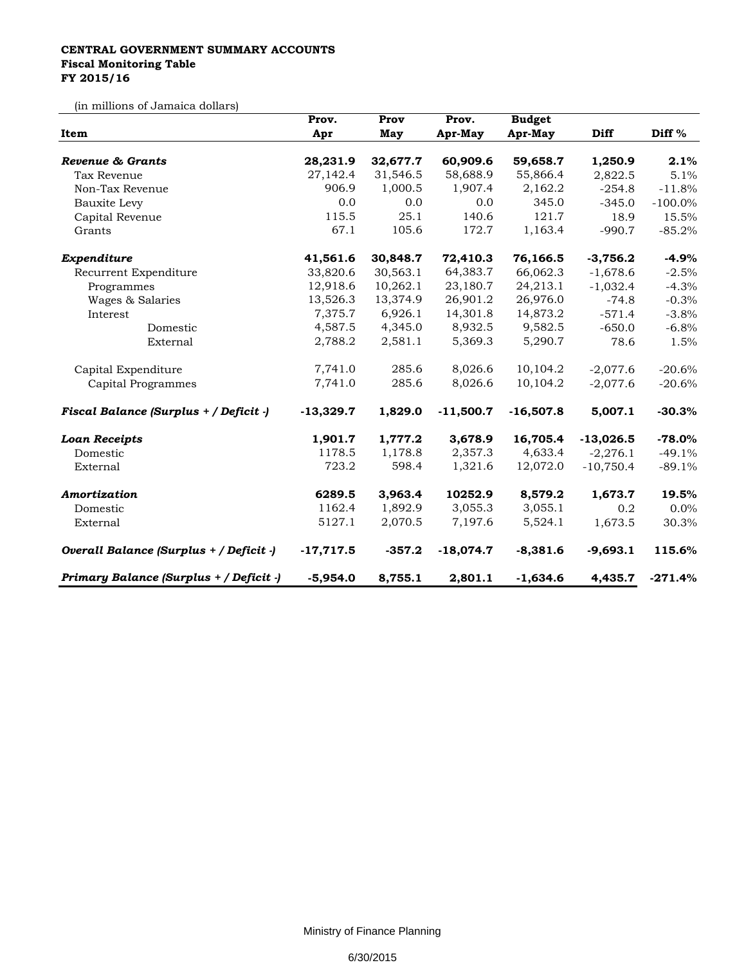## **CENTRAL GOVERNMENT SUMMARY ACCOUNTS Fiscal Monitoring Table FY 2015/16**

(in millions of Jamaica dollars)

| Item                                    | Prov.       | Prov     | Prov.       | <b>Budget</b> |             |                   |
|-----------------------------------------|-------------|----------|-------------|---------------|-------------|-------------------|
|                                         | Apr         | May      | Apr-May     | Apr-May       | Diff        | Diff <sup>%</sup> |
| Revenue & Grants                        | 28,231.9    | 32,677.7 | 60,909.6    | 59,658.7      | 1,250.9     | 2.1%              |
| Tax Revenue                             | 27,142.4    | 31,546.5 | 58,688.9    | 55,866.4      | 2,822.5     | 5.1%              |
| Non-Tax Revenue                         | 906.9       | 1,000.5  | 1,907.4     | 2,162.2       | $-254.8$    | $-11.8%$          |
| Bauxite Levy                            | 0.0         | 0.0      | 0.0         | 345.0         | $-345.0$    | $-100.0\%$        |
| Capital Revenue                         | 115.5       | 25.1     | 140.6       | 121.7         | 18.9        | 15.5%             |
| Grants                                  | 67.1        | 105.6    | 172.7       | 1,163.4       | $-990.7$    | $-85.2%$          |
| Expenditure                             | 41,561.6    | 30,848.7 | 72,410.3    | 76,166.5      | $-3,756.2$  | $-4.9%$           |
| Recurrent Expenditure                   | 33,820.6    | 30,563.1 | 64,383.7    | 66,062.3      | $-1,678.6$  | $-2.5%$           |
| Programmes                              | 12,918.6    | 10,262.1 | 23,180.7    | 24,213.1      | $-1,032.4$  | $-4.3%$           |
| Wages & Salaries                        | 13,526.3    | 13,374.9 | 26,901.2    | 26,976.0      | $-74.8$     | $-0.3%$           |
| Interest                                | 7,375.7     | 6,926.1  | 14,301.8    | 14,873.2      | $-571.4$    | $-3.8%$           |
| Domestic                                | 4,587.5     | 4,345.0  | 8,932.5     | 9,582.5       | $-650.0$    | $-6.8%$           |
| External                                | 2,788.2     | 2,581.1  | 5,369.3     | 5,290.7       | 78.6        | 1.5%              |
| Capital Expenditure                     | 7,741.0     | 285.6    | 8,026.6     | 10,104.2      | $-2,077.6$  | $-20.6%$          |
| Capital Programmes                      | 7,741.0     | 285.6    | 8,026.6     | 10,104.2      | $-2,077.6$  | $-20.6%$          |
| Fiscal Balance (Surplus + / Deficit -)  | $-13,329.7$ | 1,829.0  | $-11,500.7$ | $-16,507.8$   | 5,007.1     | $-30.3%$          |
| <b>Loan Receipts</b>                    | 1,901.7     | 1,777.2  | 3,678.9     | 16,705.4      | $-13,026.5$ | $-78.0%$          |
| Domestic                                | 1178.5      | 1,178.8  | 2,357.3     | 4,633.4       | $-2,276.1$  | $-49.1%$          |
| External                                | 723.2       | 598.4    | 1,321.6     | 12,072.0      | $-10,750.4$ | $-89.1%$          |
| Amortization                            | 6289.5      | 3,963.4  | 10252.9     | 8,579.2       | 1,673.7     | 19.5%             |
| Domestic                                | 1162.4      | 1,892.9  | 3,055.3     | 3,055.1       | 0.2         | 0.0%              |
| External                                | 5127.1      | 2,070.5  | 7,197.6     | 5,524.1       | 1,673.5     | 30.3%             |
| Overall Balance (Surplus + / Deficit -) | $-17,717.5$ | $-357.2$ | $-18,074.7$ | $-8,381.6$    | $-9,693.1$  | 115.6%            |
| Primary Balance (Surplus + / Deficit -) | $-5,954.0$  | 8,755.1  | 2,801.1     | $-1,634.6$    | 4,435.7     | $-271.4%$         |